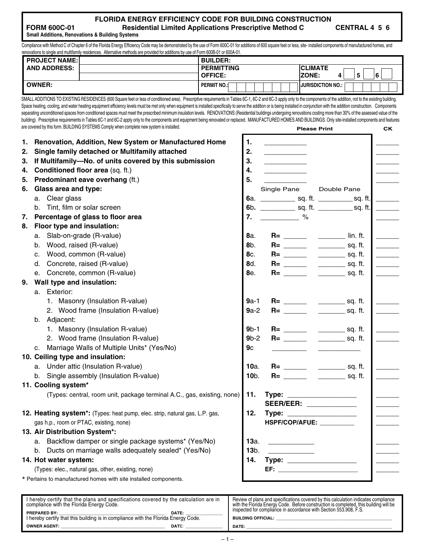| FLORIDA ENERGY EFFICIENCY CODE FOR BUILDING CONSTRUCTION      |  |
|---------------------------------------------------------------|--|
| <b>Residential Limited Applications Prescriptive Method C</b> |  |

**CENTRAL 4 5 6** 

**Small Additions, Renovations & Building Systems** 

**FORM 600C-01** 

Compliance with Method C of Chapter 6 of the Florida Energy Efficiency Code may be demonstrated by the use of Form 600C-01 for additions of 600 square feet or less, site- installed components of manufactured homes, and renovations to single and multifamily residences. Alternative methods are provided for additions by use of Form 600B-01 or 600A-01.

| <b>PROJECT NAME:</b> | <b>BUILDER:</b>    |                             |
|----------------------|--------------------|-----------------------------|
| <b>AND ADDRESS:</b>  | <b>PERMITTING</b>  | <b>ICLIMATE</b>             |
|                      | <b>OFFICE:</b>     | IZONE:<br>ᄃ<br>6<br>4<br>u  |
| <b>OWNER:</b>        | <b>PERMIT NO.:</b> | <b>I IJURISDICTION NO.:</b> |

SMALL ADDITIONS TO EXISTING RESIDENCES (600 Square feet or less of conditioned area). Prescriptive requirements in Tables 6C-1, 6C-2 and 6C-3 apply only to the components of the addition, not to the existing building. Space heating, cooling, and water heating equipment efficiency levels must be met only when equipment is installed specifically to serve the addition or is being installed in conjunction with the addition construction. Com separating unconditioned spaces from conditioned spaces must meet the prescribed minimum insulation levels. RENOVATIONS (Residential buildings undergoing renovations costing more than 30% of the assessed value of the building). Prescriptive requirements in Tables 6C-1 and 6C-2 apply only to the components and equipment being renovated or replaced. MANUFACTURED HOMES AND BUILDINGS. Only site-installed components and features are covered by this form. BUILDING SYSTEMS Comply when complete new system is installed. **Please Print CK CK** 

| 1.<br>2. | Renovation, Addition, New System or Manufactured Home<br>Single family detached or Multifamily attached | 1.<br>2.    |                                                                    |                                                                                                                                                                                                                                                                                                                                                                                                                      |                          |
|----------|---------------------------------------------------------------------------------------------------------|-------------|--------------------------------------------------------------------|----------------------------------------------------------------------------------------------------------------------------------------------------------------------------------------------------------------------------------------------------------------------------------------------------------------------------------------------------------------------------------------------------------------------|--------------------------|
| З.       | If Multifamily-No. of units covered by this submission                                                  | 3.          |                                                                    |                                                                                                                                                                                                                                                                                                                                                                                                                      |                          |
| 4.       | Conditioned floor area (sq. ft.)                                                                        | 4.          |                                                                    |                                                                                                                                                                                                                                                                                                                                                                                                                      |                          |
| 5.       | Predominant eave overhang (ft.)                                                                         | 5.          |                                                                    |                                                                                                                                                                                                                                                                                                                                                                                                                      |                          |
| 6.       | Glass area and type:                                                                                    |             | Single Pane                                                        | Double Pane                                                                                                                                                                                                                                                                                                                                                                                                          |                          |
|          | a. Clear glass                                                                                          |             |                                                                    | 6a. _____________ sq. ft. _____________ sq. ft.                                                                                                                                                                                                                                                                                                                                                                      | $\overline{\phantom{a}}$ |
|          | b. Tint, film or solar screen                                                                           |             |                                                                    | 6b. ______________ sq. ft. _____________ sq. ft.                                                                                                                                                                                                                                                                                                                                                                     |                          |
| 7.       | Percentage of glass to floor area                                                                       | 7.          | $\overline{\phantom{a}}$ %                                         |                                                                                                                                                                                                                                                                                                                                                                                                                      |                          |
| 8.       | Floor type and insulation:                                                                              |             |                                                                    |                                                                                                                                                                                                                                                                                                                                                                                                                      |                          |
|          | a. Slab-on-grade (R-value)                                                                              | 8а.         |                                                                    |                                                                                                                                                                                                                                                                                                                                                                                                                      |                          |
|          | b. Wood, raised (R-value)                                                                               | 8b.         |                                                                    |                                                                                                                                                                                                                                                                                                                                                                                                                      |                          |
|          | c. Wood, common (R-value)                                                                               | 8с.         |                                                                    |                                                                                                                                                                                                                                                                                                                                                                                                                      | $\overline{\phantom{a}}$ |
|          | d. Concrete, raised (R-value)                                                                           | 8d.         |                                                                    | $\frac{1}{\sqrt{1-\frac{1}{2}}\sqrt{1-\frac{1}{2}}\sqrt{1-\frac{1}{2}}\sqrt{1-\frac{1}{2}}\sqrt{1-\frac{1}{2}}\sqrt{1-\frac{1}{2}}\sqrt{1-\frac{1}{2}}\sqrt{1-\frac{1}{2}}\sqrt{1-\frac{1}{2}}\sqrt{1-\frac{1}{2}}\sqrt{1-\frac{1}{2}}\sqrt{1-\frac{1}{2}}\sqrt{1-\frac{1}{2}}\sqrt{1-\frac{1}{2}}\sqrt{1-\frac{1}{2}}\sqrt{1-\frac{1}{2}}\sqrt{1-\frac{1}{2}}\sqrt{1-\frac{1}{2}}\sqrt{1-\frac{1}{2}}\sqrt{1-\frac$ | $\overline{\phantom{a}}$ |
|          | e. Concrete, common (R-value)                                                                           | 8e.         | $R =$                                                              | $\rule{1em}{0.15mm}$ sq. ft.                                                                                                                                                                                                                                                                                                                                                                                         |                          |
| 9.       | Wall type and insulation:                                                                               |             |                                                                    |                                                                                                                                                                                                                                                                                                                                                                                                                      |                          |
|          | a. Exterior:                                                                                            |             |                                                                    |                                                                                                                                                                                                                                                                                                                                                                                                                      |                          |
|          | 1. Masonry (Insulation R-value)                                                                         | $9a-1$      |                                                                    |                                                                                                                                                                                                                                                                                                                                                                                                                      |                          |
|          | 2. Wood frame (Insulation R-value)                                                                      | $9a-2$      |                                                                    |                                                                                                                                                                                                                                                                                                                                                                                                                      |                          |
|          | b. Adjacent:                                                                                            |             |                                                                    |                                                                                                                                                                                                                                                                                                                                                                                                                      |                          |
|          | 1. Masonry (Insulation R-value)                                                                         | $9b-1$      |                                                                    |                                                                                                                                                                                                                                                                                                                                                                                                                      |                          |
|          | 2. Wood frame (Insulation R-value)                                                                      | $9b-2$      |                                                                    |                                                                                                                                                                                                                                                                                                                                                                                                                      |                          |
|          | c. Marriage Walls of Multiple Units* (Yes/No)                                                           | 9с          |                                                                    |                                                                                                                                                                                                                                                                                                                                                                                                                      |                          |
|          | 10. Ceiling type and insulation:                                                                        |             |                                                                    |                                                                                                                                                                                                                                                                                                                                                                                                                      |                          |
|          | a. Under attic (Insulation R-value)                                                                     | <b>10a.</b> |                                                                    |                                                                                                                                                                                                                                                                                                                                                                                                                      |                          |
|          | b. Single assembly (Insulation R-value)                                                                 | $10b$ .     |                                                                    |                                                                                                                                                                                                                                                                                                                                                                                                                      |                          |
|          | 11. Cooling system*                                                                                     |             |                                                                    |                                                                                                                                                                                                                                                                                                                                                                                                                      |                          |
|          | (Types: central, room unit, package terminal A.C., gas, existing, none)                                 | 11.         | $Type: \_\_\_\_\_\_\_\_\_\_\_\_\_\_\_\_\_\_\_\_\_\_\_\_\_\_\_\_\_$ |                                                                                                                                                                                                                                                                                                                                                                                                                      |                          |
|          |                                                                                                         |             | SEER/EER: _____________                                            |                                                                                                                                                                                                                                                                                                                                                                                                                      |                          |
|          | 12. Heating system*: (Types: heat pump, elec. strip, natural gas, L.P. gas,                             | 12.         | Type: ________________________                                     |                                                                                                                                                                                                                                                                                                                                                                                                                      |                          |
|          | gas h.p., room or PTAC, existing, none)                                                                 |             | HSPF/COP/AFUE: __________                                          |                                                                                                                                                                                                                                                                                                                                                                                                                      |                          |
|          | 13. Air Distribution System*:                                                                           |             |                                                                    |                                                                                                                                                                                                                                                                                                                                                                                                                      |                          |
|          | a. Backflow damper or single package systems* (Yes/No)                                                  | 13a.        |                                                                    |                                                                                                                                                                                                                                                                                                                                                                                                                      |                          |
|          | b. Ducts on marriage walls adequately sealed* (Yes/No)                                                  | $13b$ .     |                                                                    |                                                                                                                                                                                                                                                                                                                                                                                                                      |                          |
|          | 14. Hot water system:                                                                                   | 14.         |                                                                    |                                                                                                                                                                                                                                                                                                                                                                                                                      |                          |
|          | (Types: elec., natural gas, other, existing, none)                                                      |             | EF: www.astronomia.com                                             |                                                                                                                                                                                                                                                                                                                                                                                                                      |                          |
|          | * Pertains to manufactured homes with site installed components.                                        |             |                                                                    |                                                                                                                                                                                                                                                                                                                                                                                                                      |                          |
|          |                                                                                                         |             |                                                                    |                                                                                                                                                                                                                                                                                                                                                                                                                      |                          |

| I hereby certify that the plans and specifications covered by the calculation are in<br>compliance with the Florida Energy Code. |       | Review of plans and specifications covered by this calculation indicates compliance<br>with the Florida Energy Code. Before construction is completed, this building will be<br>inspected for compliance in accordance with Section 553.908. F.S. |
|----------------------------------------------------------------------------------------------------------------------------------|-------|---------------------------------------------------------------------------------------------------------------------------------------------------------------------------------------------------------------------------------------------------|
| PREPARED BY:<br>I hereby certify that this building is in compliance with the Florida Energy Code.                               | DATE: | <b>BUILDING OFFICIAL:</b>                                                                                                                                                                                                                         |
| OWNER AGENT:                                                                                                                     | DATE: | DATE:                                                                                                                                                                                                                                             |